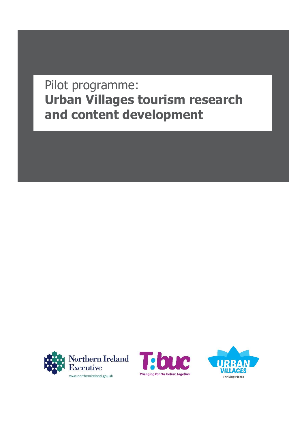# Pilot programme: **Urban Villages tourism research and content development**





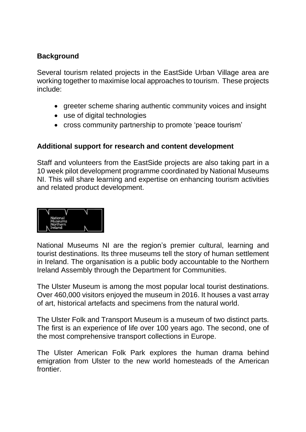## **Background**

Several tourism related projects in the EastSide Urban Village area are working together to maximise local approaches to tourism. These projects include:

- greeter scheme sharing authentic community voices and insight
- use of digital technologies
- cross community partnership to promote 'peace tourism'

#### **Additional support for research and content development**

Staff and volunteers from the EastSide projects are also taking part in a 10 week pilot development programme coordinated by National Museums NI. This will share learning and expertise on enhancing tourism activities and related product development.



National Museums NI are the region's premier cultural, learning and tourist destinations. Its three museums tell the story of human settlement in Ireland. The organisation is a public body accountable to the Northern Ireland Assembly through the Department for Communities.

The Ulster Museum is among the most popular local tourist destinations. Over 460,000 visitors enjoyed the museum in 2016. It houses a vast array of art, historical artefacts and specimens from the natural world.

The Ulster Folk and Transport Museum is a museum of two distinct parts. The first is an experience of life over 100 years ago. The second, one of the most comprehensive transport collections in Europe.

The Ulster American Folk Park explores the human drama behind emigration from Ulster to the new world homesteads of the American frontier.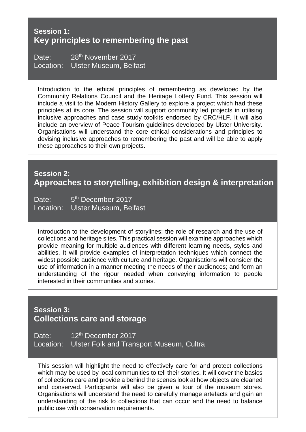#### **Session 1: Key principles to remembering the past**

Date: 28<sup>th</sup> November 2017 Location: Ulster Museum, Belfast

Introduction to the ethical principles of remembering as developed by the Community Relations Council and the Heritage Lottery Fund. This session will include a visit to the Modern History Gallery to explore a project which had these principles at its core. The session will support community led projects in utilising inclusive approaches and case study toolkits endorsed by CRC/HLF. It will also include an overview of Peace Tourism guidelines developed by Ulster University. Organisations will understand the core ethical considerations and principles to devising inclusive approaches to remembering the past and will be able to apply these approaches to their own projects.

# **Session 2: Approaches to storytelling, exhibition design & interpretation**

Date: 5<sup>th</sup> December 2017 Location: Ulster Museum, Belfast

Introduction to the development of storylines; the role of research and the use of collections and heritage sites. This practical session will examine approaches which provide meaning for multiple audiences with different learning needs, styles and abilities. It will provide examples of interpretation techniques which connect the widest possible audience with culture and heritage. Organisations will consider the use of information in a manner meeting the needs of their audiences; and form an understanding of the rigour needed when conveying information to people interested in their communities and stories.

## **Session 3: Collections care and storage**

Date: 12<sup>th</sup> December 2017 Location: Ulster Folk and Transport Museum, Cultra

This session will highlight the need to effectively care for and protect collections which may be used by local communities to tell their stories. It will cover the basics of collections care and provide a behind the scenes look at how objects are cleaned and conserved. Participants will also be given a tour of the museum stores. Organisations will understand the need to carefully manage artefacts and gain an understanding of the risk to collections that can occur and the need to balance public use with conservation requirements.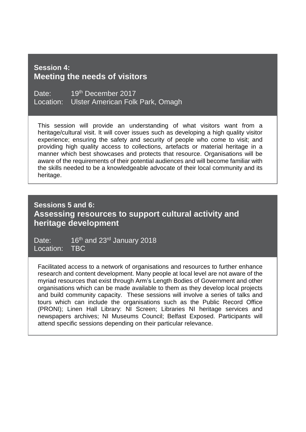#### **Session 4: Meeting the needs of visitors**

Date: 19th December 2017 Location: Ulster American Folk Park, Omagh

This session will provide an understanding of what visitors want from a heritage/cultural visit. It will cover issues such as developing a high quality visitor experience; ensuring the safety and security of people who come to visit; and providing high quality access to collections, artefacts or material heritage in a manner which best showcases and protects that resource. Organisations will be aware of the requirements of their potential audiences and will become familiar with the skills needed to be a knowledgeable advocate of their local community and its heritage.

## **Sessions 5 and 6: Assessing resources to support cultural activity and heritage development**

Date: 16<sup>th</sup> and 23<sup>rd</sup> January 2018 Location: TBC

Facilitated access to a network of organisations and resources to further enhance research and content development. Many people at local level are not aware of the myriad resources that exist through Arm's Length Bodies of Government and other organisations which can be made available to them as they develop local projects and build community capacity. These sessions will involve a series of talks and tours which can include the organisations such as the Public Record Office (PRONI); Linen Hall Library: NI Screen; Libraries NI heritage services and newspapers archives; NI Museums Council; Belfast Exposed. Participants will attend specific sessions depending on their particular relevance.